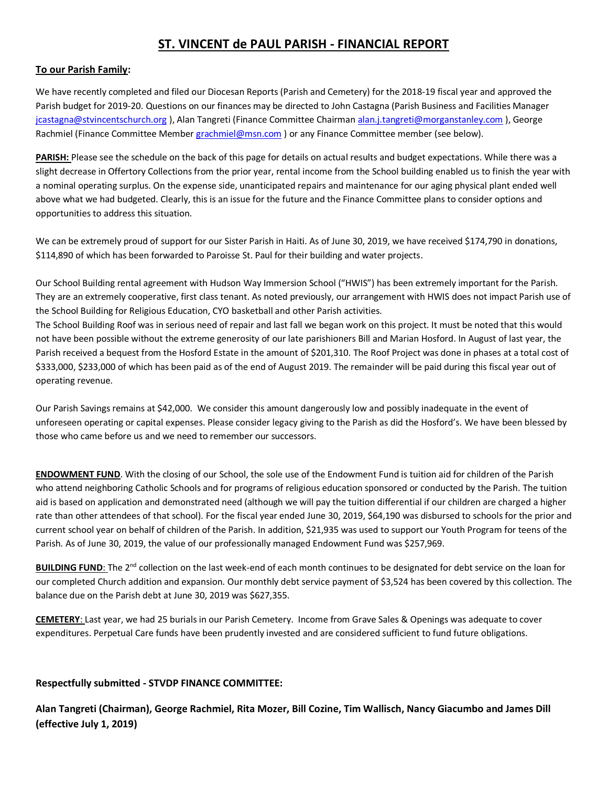## **ST. VINCENT de PAUL PARISH - FINANCIAL REPORT**

## **To our Parish Family:**

We have recently completed and filed our Diocesan Reports (Parish and Cemetery) for the 2018-19 fiscal year and approved the Parish budget for 2019-20. Questions on our finances may be directed to John Castagna (Parish Business and Facilities Manager [jcastagna@stvincentschurch.org](mailto:jcastagna@stvincentschurch.org)), Alan Tangreti (Finance Committee Chairman [alan.j.tangreti@morganstanley.com](mailto:alan.j.tangreti@morganstanley.com)), George Rachmiel (Finance Committee Membe[r grachmiel@msn.com](mailto:grachmiel@msn.com)) or any Finance Committee member (see below).

**PARISH:** Please see the schedule on the back of this page for details on actual results and budget expectations. While there was a slight decrease in Offertory Collections from the prior year, rental income from the School building enabled us to finish the year with a nominal operating surplus. On the expense side, unanticipated repairs and maintenance for our aging physical plant ended well above what we had budgeted. Clearly, this is an issue for the future and the Finance Committee plans to consider options and opportunities to address this situation.

We can be extremely proud of support for our Sister Parish in Haiti. As of June 30, 2019, we have received \$174,790 in donations, \$114,890 of which has been forwarded to Paroisse St. Paul for their building and water projects.

Our School Building rental agreement with Hudson Way Immersion School ("HWIS") has been extremely important for the Parish. They are an extremely cooperative, first class tenant. As noted previously, our arrangement with HWIS does not impact Parish use of the School Building for Religious Education, CYO basketball and other Parish activities.

The School Building Roof was in serious need of repair and last fall we began work on this project. It must be noted that this would not have been possible without the extreme generosity of our late parishioners Bill and Marian Hosford. In August of last year, the Parish received a bequest from the Hosford Estate in the amount of \$201,310. The Roof Project was done in phases at a total cost of \$333,000, \$233,000 of which has been paid as of the end of August 2019. The remainder will be paid during this fiscal year out of operating revenue.

Our Parish Savings remains at \$42,000. We consider this amount dangerously low and possibly inadequate in the event of unforeseen operating or capital expenses. Please consider legacy giving to the Parish as did the Hosford's. We have been blessed by those who came before us and we need to remember our successors.

**ENDOWMENT FUND**. With the closing of our School, the sole use of the Endowment Fund is tuition aid for children of the Parish who attend neighboring Catholic Schools and for programs of religious education sponsored or conducted by the Parish. The tuition aid is based on application and demonstrated need (although we will pay the tuition differential if our children are charged a higher rate than other attendees of that school). For the fiscal year ended June 30, 2019, \$64,190 was disbursed to schools for the prior and current school year on behalf of children of the Parish. In addition, \$21,935 was used to support our Youth Program for teens of the Parish. As of June 30, 2019, the value of our professionally managed Endowment Fund was \$257,969.

BUILDING FUND: The 2<sup>nd</sup> collection on the last week-end of each month continues to be designated for debt service on the loan for our completed Church addition and expansion. Our monthly debt service payment of \$3,524 has been covered by this collection. The balance due on the Parish debt at June 30, 2019 was \$627,355.

**CEMETERY**: Last year, we had 25 burials in our Parish Cemetery. Income from Grave Sales & Openings was adequate to cover expenditures. Perpetual Care funds have been prudently invested and are considered sufficient to fund future obligations.

## **Respectfully submitted - STVDP FINANCE COMMITTEE:**

**Alan Tangreti (Chairman), George Rachmiel, Rita Mozer, Bill Cozine, Tim Wallisch, Nancy Giacumbo and James Dill (effective July 1, 2019)**